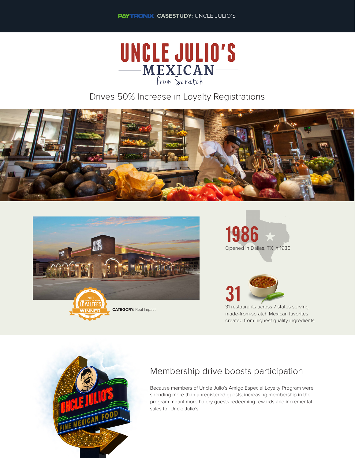

Drives 50% Increase in Loyalty Registrations









made-from-scratch Mexican favorites created from highest quality ingredients



## Membership drive boosts participation

Because members of Uncle Julio's Amigo Especial Loyalty Program were spending more than unregistered guests, increasing membership in the program meant more happy guests redeeming rewards and incremental sales for Uncle Julio's.